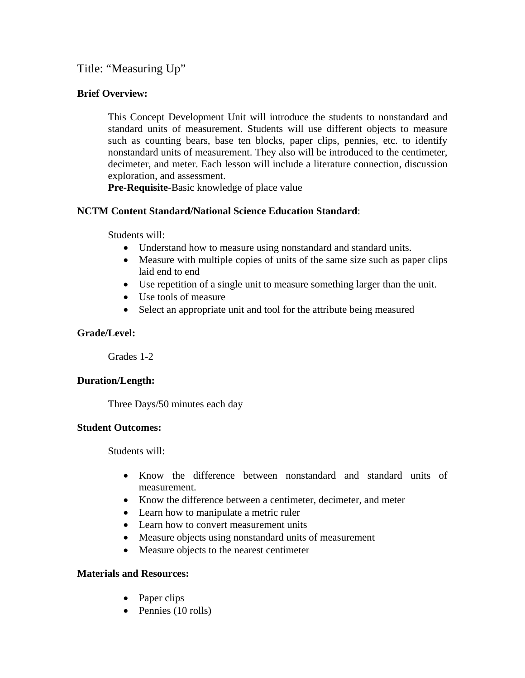Title: "Measuring Up"

### **Brief Overview:**

This Concept Development Unit will introduce the students to nonstandard and standard units of measurement. Students will use different objects to measure such as counting bears, base ten blocks, paper clips, pennies, etc. to identify nonstandard units of measurement. They also will be introduced to the centimeter, decimeter, and meter. Each lesson will include a literature connection, discussion exploration, and assessment.

**Pre-Requisite**-Basic knowledge of place value

### **NCTM Content Standard/National Science Education Standard**:

Students will:

- Understand how to measure using nonstandard and standard units.
- Measure with multiple copies of units of the same size such as paper clips laid end to end
- Use repetition of a single unit to measure something larger than the unit.
- Use tools of measure
- Select an appropriate unit and tool for the attribute being measured

### **Grade/Level:**

Grades 1-2

#### **Duration/Length:**

Three Days/50 minutes each day

#### **Student Outcomes:**

Students will:

- Know the difference between nonstandard and standard units of measurement.
- Know the difference between a centimeter, decimeter, and meter
- Learn how to manipulate a metric ruler
- Learn how to convert measurement units
- Measure objects using nonstandard units of measurement
- Measure objects to the nearest centimeter

### **Materials and Resources:**

- Paper clips
- Pennies (10 rolls)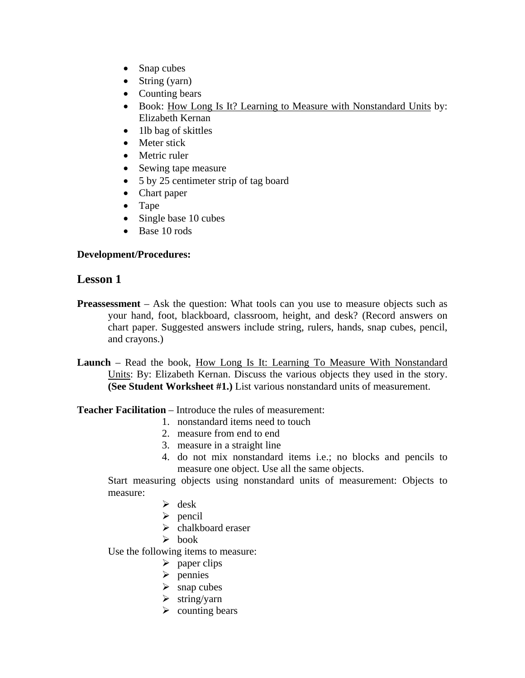- Snap cubes
- String (yarn)
- Counting bears
- Book: How Long Is It? Learning to Measure with Nonstandard Units by: Elizabeth Kernan
- 1lb bag of skittles
- Meter stick
- Metric ruler
- Sewing tape measure
- 5 by 25 centimeter strip of tag board
- Chart paper
- Tape
- Single base 10 cubes
- Base 10 rods

#### **Development/Procedures:**

### **Lesson 1**

- **Preassessment** Ask the question: What tools can you use to measure objects such as your hand, foot, blackboard, classroom, height, and desk? (Record answers on chart paper. Suggested answers include string, rulers, hands, snap cubes, pencil, and crayons.)
- **Launch** Read the book, How Long Is It: Learning To Measure With Nonstandard Units: By: Elizabeth Kernan. Discuss the various objects they used in the story. **(See Student Worksheet #1.)** List various nonstandard units of measurement.

#### **Teacher Facilitation** – Introduce the rules of measurement:

- 1. nonstandard items need to touch
- 2. measure from end to end
- 3. measure in a straight line
- 4. do not mix nonstandard items i.e.; no blocks and pencils to measure one object. Use all the same objects.

Start measuring objects using nonstandard units of measurement: Objects to measure:

- $\triangleright$  desk
- $\triangleright$  pencil
- $\triangleright$  chalkboard eraser
- $\triangleright$  book

Use the following items to measure:

- $\triangleright$  paper clips
- $\triangleright$  pennies
- $\triangleright$  snap cubes
- $\triangleright$  string/yarn
- $\triangleright$  counting bears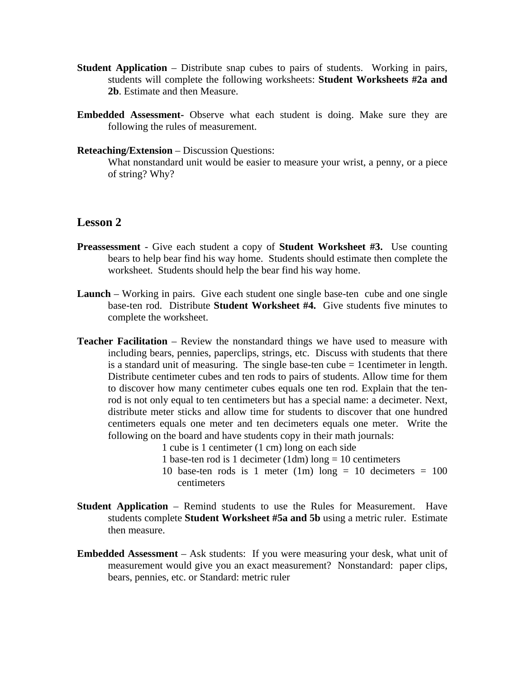- **Student Application** Distribute snap cubes to pairs of students. Working in pairs, students will complete the following worksheets: **Student Worksheets #2a and 2b**. Estimate and then Measure.
- **Embedded Assessment-** Observe what each student is doing. Make sure they are following the rules of measurement.
- **Reteaching/Extension** Discussion Questions:

What nonstandard unit would be easier to measure your wrist, a penny, or a piece of string? Why?

### **Lesson 2**

- **Preassessment** Give each student a copy of **Student Worksheet #3.** Use counting bears to help bear find his way home. Students should estimate then complete the worksheet. Students should help the bear find his way home.
- **Launch** Working in pairs. Give each student one single base-ten cube and one single base-ten rod. Distribute **Student Worksheet #4.** Give students five minutes to complete the worksheet.
- **Teacher Facilitation** Review the nonstandard things we have used to measure with including bears, pennies, paperclips, strings, etc. Discuss with students that there is a standard unit of measuring. The single base-ten cube = 1centimeter in length. Distribute centimeter cubes and ten rods to pairs of students. Allow time for them to discover how many centimeter cubes equals one ten rod. Explain that the tenrod is not only equal to ten centimeters but has a special name: a decimeter. Next, distribute meter sticks and allow time for students to discover that one hundred centimeters equals one meter and ten decimeters equals one meter. Write the following on the board and have students copy in their math journals:
	- 1 cube is 1 centimeter (1 cm) long on each side
	- 1 base-ten rod is 1 decimeter  $(1dm)$  long = 10 centimeters
	- 10 base-ten rods is 1 meter (1m) long = 10 decimeters =  $100$ centimeters
- **Student Application** Remind students to use the Rules for Measurement. Have students complete **Student Worksheet #5a and 5b** using a metric ruler. Estimate then measure.
- **Embedded Assessment** Ask students: If you were measuring your desk, what unit of measurement would give you an exact measurement? Nonstandard: paper clips, bears, pennies, etc. or Standard: metric ruler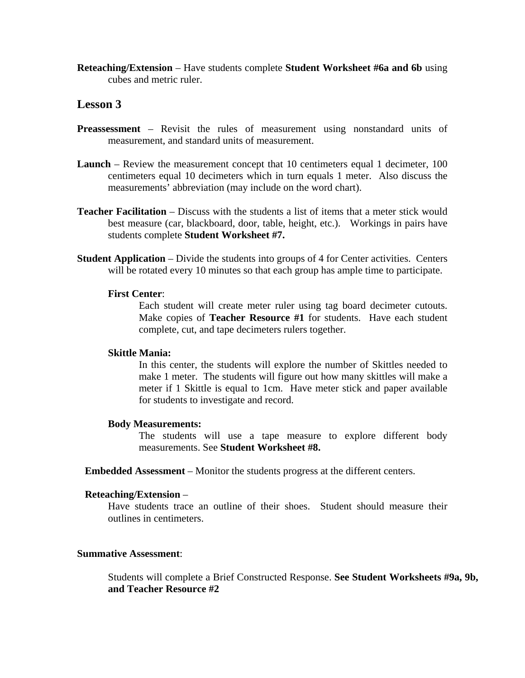**Reteaching/Extension** – Have students complete **Student Worksheet #6a and 6b** using cubes and metric ruler.

#### **Lesson 3**

- **Preassessment** Revisit the rules of measurement using nonstandard units of measurement, and standard units of measurement.
- **Launch** Review the measurement concept that 10 centimeters equal 1 decimeter, 100 centimeters equal 10 decimeters which in turn equals 1 meter. Also discuss the measurements' abbreviation (may include on the word chart).
- **Teacher Facilitation** Discuss with the students a list of items that a meter stick would best measure (car, blackboard, door, table, height, etc.). Workings in pairs have students complete **Student Worksheet #7.**
- **Student Application** Divide the students into groups of 4 for Center activities. Centers will be rotated every 10 minutes so that each group has ample time to participate.

#### **First Center**:

 Each student will create meter ruler using tag board decimeter cutouts. Make copies of **Teacher Resource #1** for students. Have each student complete, cut, and tape decimeters rulers together.

#### **Skittle Mania:**

 In this center, the students will explore the number of Skittles needed to make 1 meter. The students will figure out how many skittles will make a meter if 1 Skittle is equal to 1cm. Have meter stick and paper available for students to investigate and record.

#### **Body Measurements:**

The students will use a tape measure to explore different body measurements. See **Student Worksheet #8.**

**Embedded Assessment** – Monitor the students progress at the different centers.

#### **Reteaching/Extension** –

Have students trace an outline of their shoes. Student should measure their outlines in centimeters.

#### **Summative Assessment**:

Students will complete a Brief Constructed Response. **See Student Worksheets #9a, 9b, and Teacher Resource #2**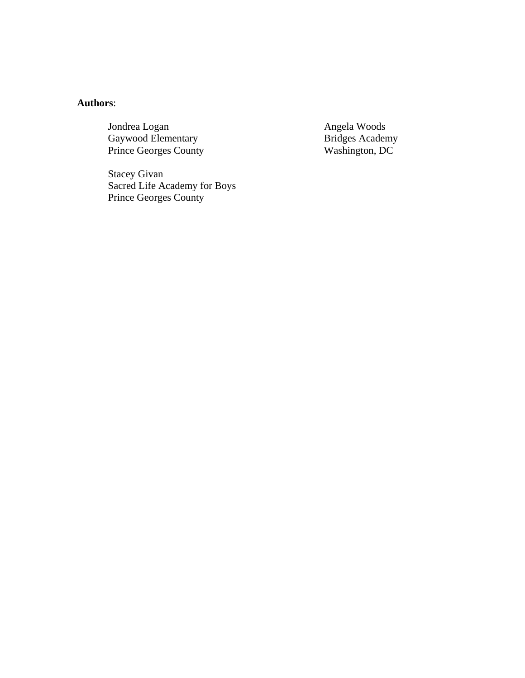### **Authors**:

Jondrea Logan Angela Woods<br>Gaywood Elementary **Angela Woods**<br>Bridges Academy Gaywood Elementary Bridges Academy<br>Prince Georges County Washington, DC Prince Georges County

Stacey Givan Sacred Life Academy for Boys Prince Georges County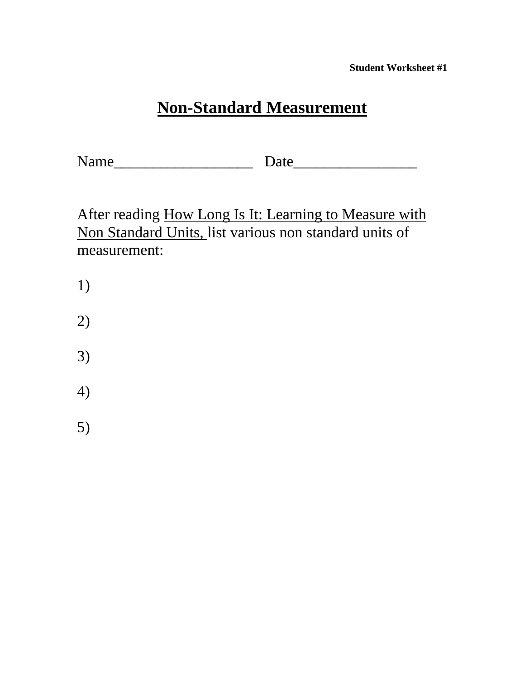**Student Worksheet #1** 

# **Non-Standard Measurement**

Name\_\_\_\_\_\_\_\_\_\_\_\_\_\_\_\_\_\_ Date\_\_\_\_\_\_\_\_\_\_\_\_\_\_\_\_

After reading How Long Is It: Learning to Measure with Non Standard Units, list various non standard units of measurement:

- 1)
- 2)
- 3)
- 
- 4)
- 5)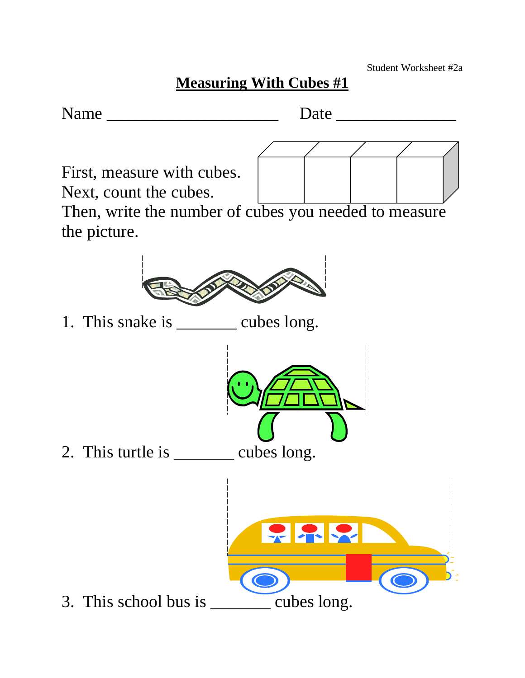# **Measuring With Cubes #1**

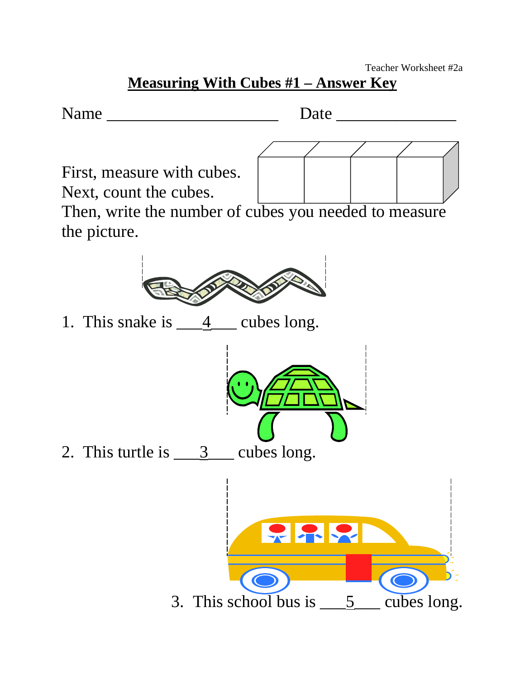### **Measuring With Cubes #1 – Answer Key**

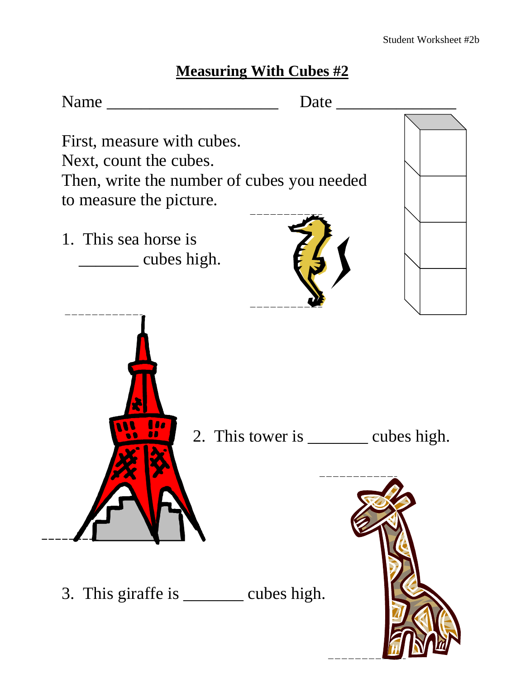# **Measuring With Cubes #2**

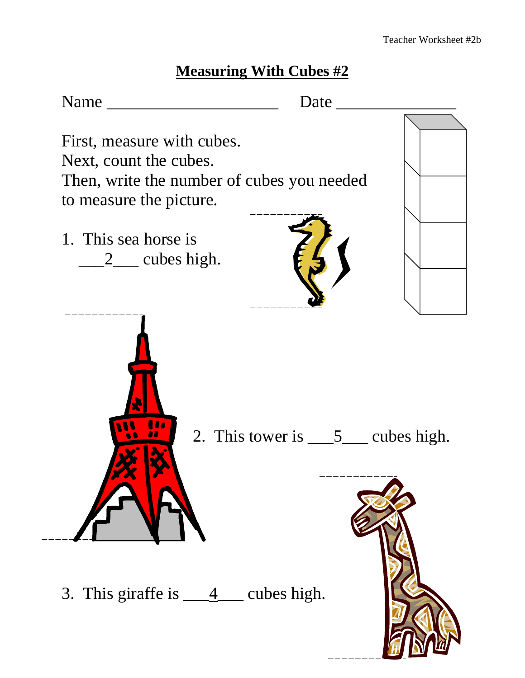# **Measuring With Cubes #2**

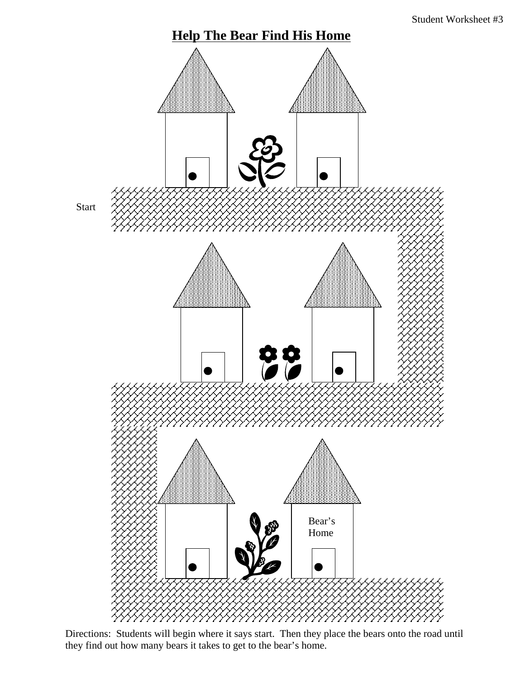

Directions: Students will begin where it says start. Then they place the bears onto the road until they find out how many bears it takes to get to the bear's home.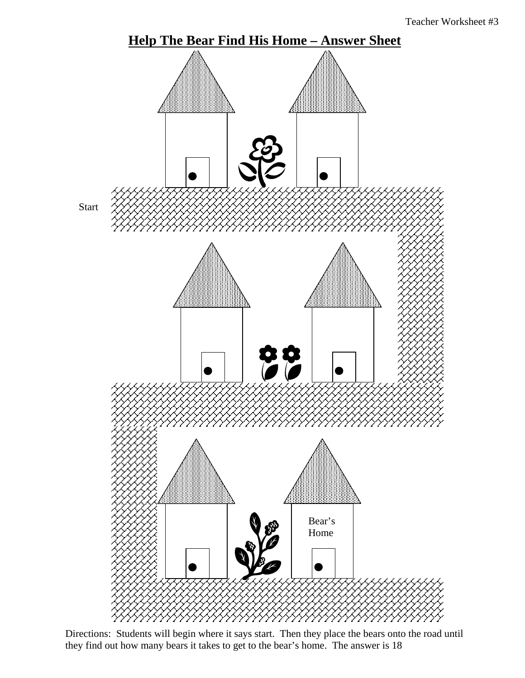

Directions: Students will begin where it says start. Then they place the bears onto the road until they find out how many bears it takes to get to the bear's home. The answer is 18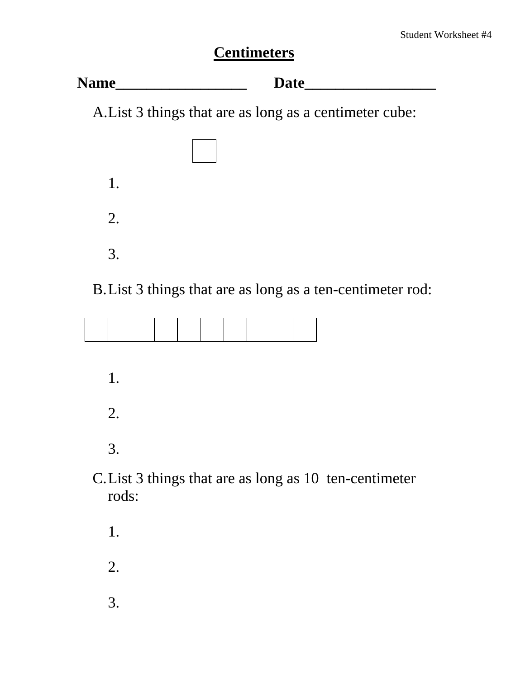# **Centimeters**

| <b>Name</b> | late |
|-------------|------|
|-------------|------|

A. List 3 things that are as long as a centimeter cube:



### B. List 3 things that are as long as a ten-centimeter rod:

- 1. 2. 3.
- C. List 3 things that are as long as 10 ten-centimeter rods:
	- 1. 2.
	- 3.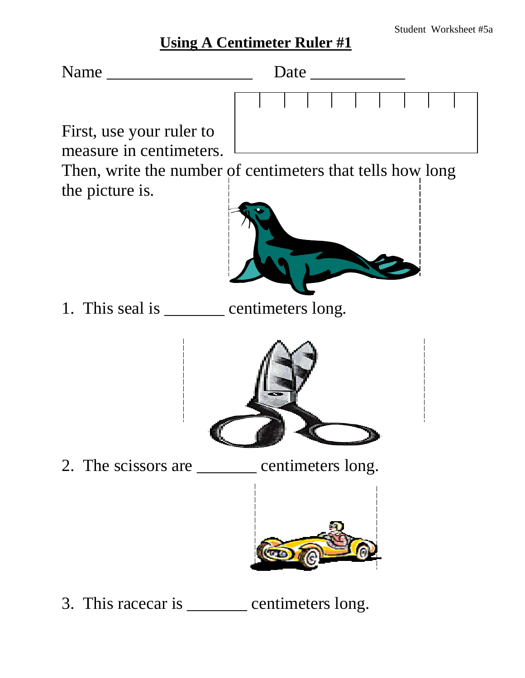## **Using A Centimeter Ruler #1**



3. This racecar is \_\_\_\_\_\_\_\_ centimeters long.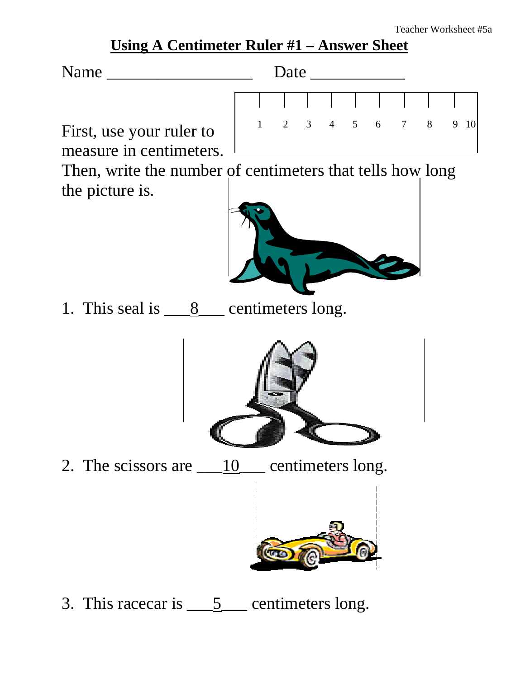### **Using A Centimeter Ruler #1 – Answer Sheet**



First, use your ruler to measure in centimeters.

Then, write the number of centimeters that tells how long the picture is.



1. This seal is  $\qquad 8$  centimeters long.



2. The scissors are  $\underline{\hspace{1cm}} 10$  centimeters long.



3. This racecar is  $\underline{\hspace{1cm}} 5$  centimeters long.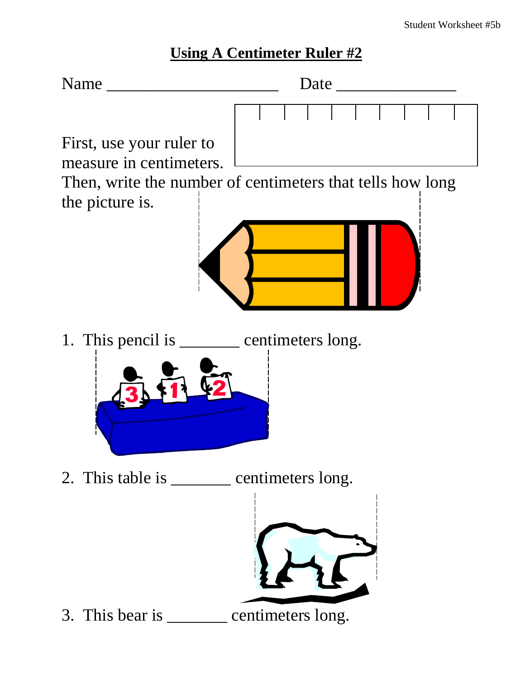### **Using A Centimeter Ruler #2**

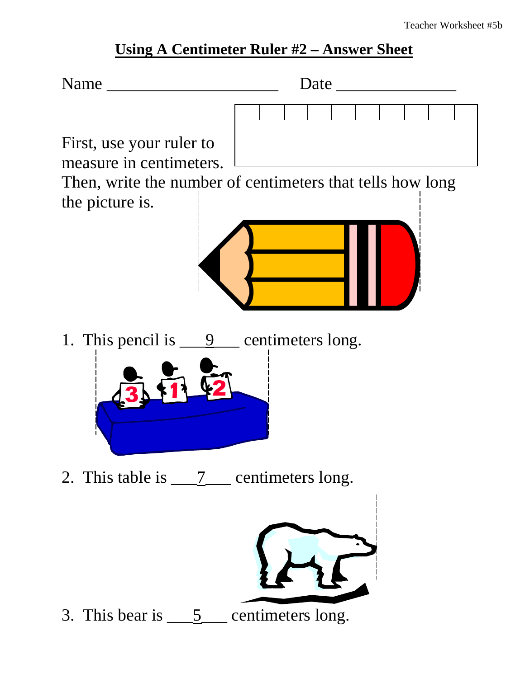### **Using A Centimeter Ruler #2 – Answer Sheet**

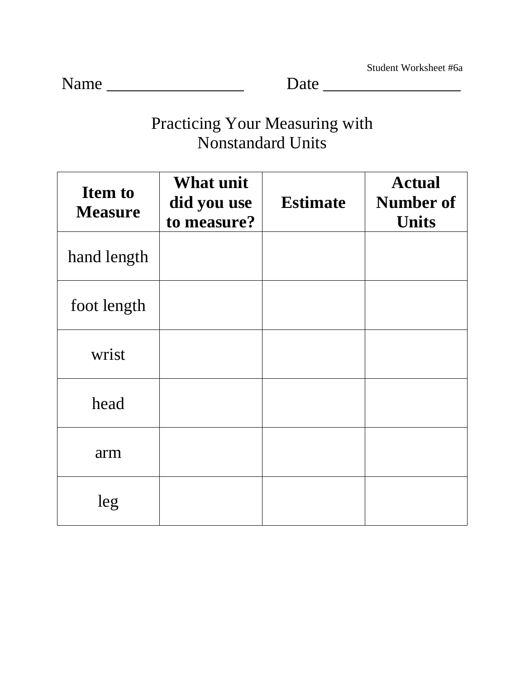Student Worksheet #6a

Name \_\_\_\_\_\_\_\_\_\_\_\_\_\_\_\_ Date \_\_\_\_\_\_\_\_\_\_\_\_\_\_\_\_

# Practicing Your Measuring with Nonstandard Units

| <b>Item to</b><br><b>Measure</b> | <b>What unit</b><br>did you use<br>to measure? | <b>Estimate</b> | <b>Actual</b><br><b>Number of</b><br><b>Units</b> |
|----------------------------------|------------------------------------------------|-----------------|---------------------------------------------------|
| hand length                      |                                                |                 |                                                   |
| foot length                      |                                                |                 |                                                   |
| wrist                            |                                                |                 |                                                   |
| head                             |                                                |                 |                                                   |
| arm                              |                                                |                 |                                                   |
| leg                              |                                                |                 |                                                   |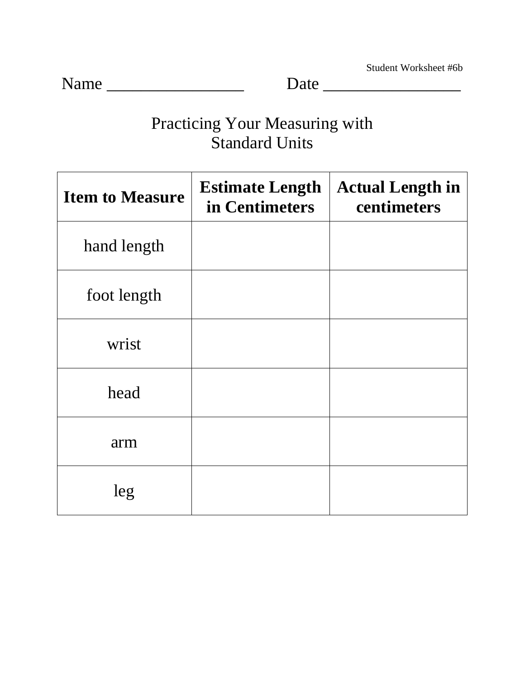Student Worksheet #6b

Name \_\_\_\_\_\_\_\_\_\_\_\_\_\_\_\_ Date \_\_\_\_\_\_\_\_\_\_\_\_\_\_\_\_

# Practicing Your Measuring with Standard Units

| <b>Item to Measure</b> | <b>Estimate Length</b><br>in Centimeters | <b>Actual Length in</b><br>centimeters |
|------------------------|------------------------------------------|----------------------------------------|
| hand length            |                                          |                                        |
| foot length            |                                          |                                        |
| wrist                  |                                          |                                        |
| head                   |                                          |                                        |
| arm                    |                                          |                                        |
| leg                    |                                          |                                        |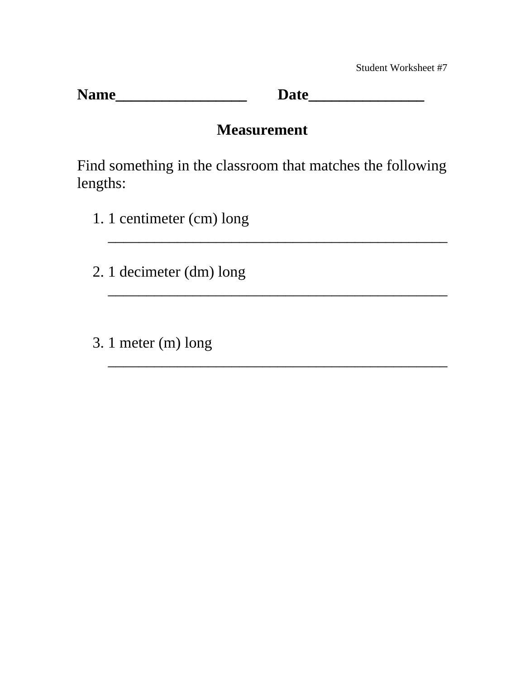Student Worksheet #7

**Name\_\_\_\_\_\_\_\_\_\_\_\_\_\_\_\_\_ Date\_\_\_\_\_\_\_\_\_\_\_\_\_\_\_** 

### **Measurement**

Find something in the classroom that matches the following lengths:

\_\_\_\_\_\_\_\_\_\_\_\_\_\_\_\_\_\_\_\_\_\_\_\_\_\_\_\_\_\_\_\_\_\_\_\_\_\_\_\_\_\_\_\_

\_\_\_\_\_\_\_\_\_\_\_\_\_\_\_\_\_\_\_\_\_\_\_\_\_\_\_\_\_\_\_\_\_\_\_\_\_\_\_\_\_\_\_\_

\_\_\_\_\_\_\_\_\_\_\_\_\_\_\_\_\_\_\_\_\_\_\_\_\_\_\_\_\_\_\_\_\_\_\_\_\_\_\_\_\_\_\_\_

- 1. 1 centimeter (cm) long
- 2. 1 decimeter (dm) long
- 3. 1 meter (m) long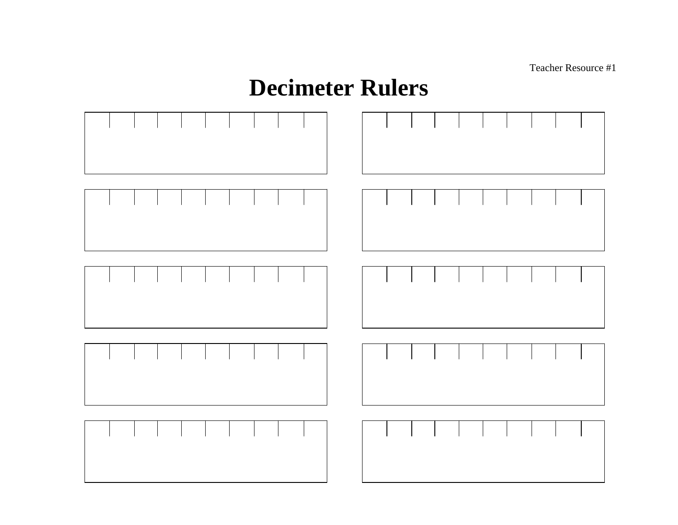Teacher Resource #1

# **Decimeter Rulers**

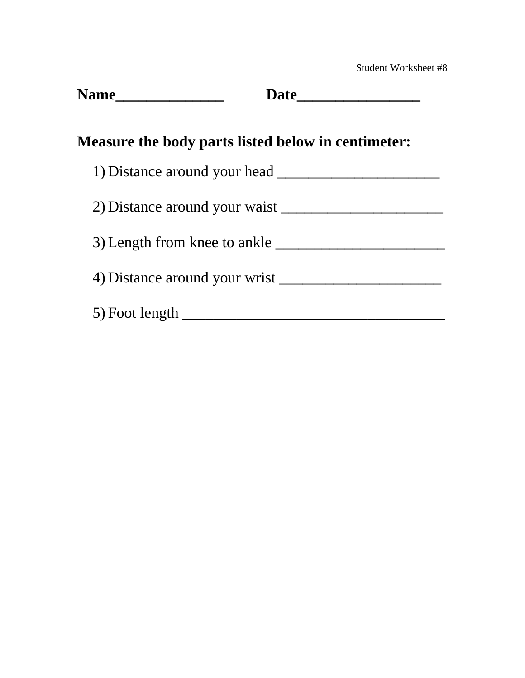| <b>Measure the body parts listed below in centimeter:</b> |  |
|-----------------------------------------------------------|--|
|                                                           |  |
| 2) Distance around your waist                             |  |
| 3) Length from knee to ankle                              |  |
|                                                           |  |
|                                                           |  |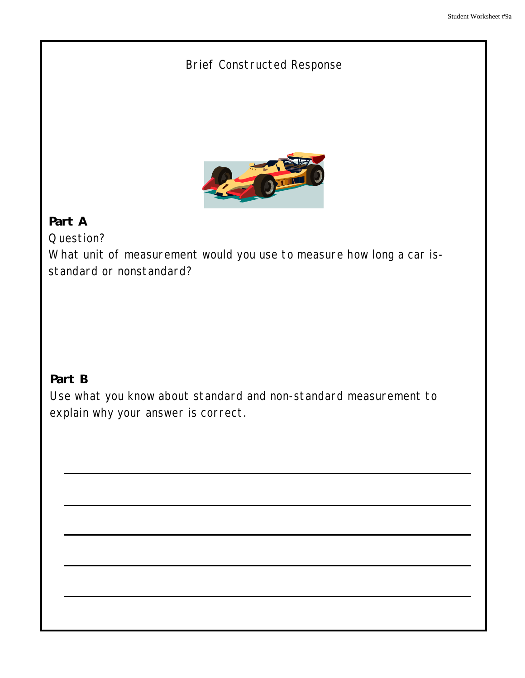### Brief Constructed Response



### **Part A**

Question?

What unit of measurement would you use to measure how long a car isstandard or nonstandard?

### **Part B**

Use what you know about standard and non-standard measurement to explain why your answer is correct.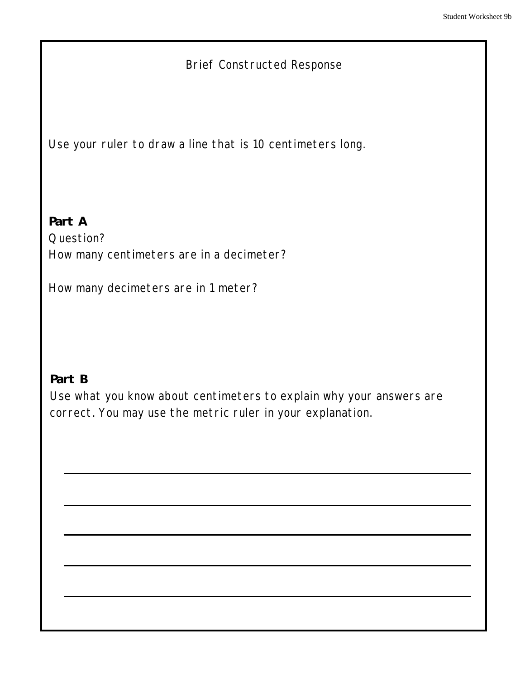### Brief Constructed Response

Use your ruler to draw a line that is 10 centimeters long.

**Part A**  Question? How many centimeters are in a decimeter?

How many decimeters are in 1 meter?

### **Part B**

Use what you know about centimeters to explain why your answers are correct. You may use the metric ruler in your explanation.